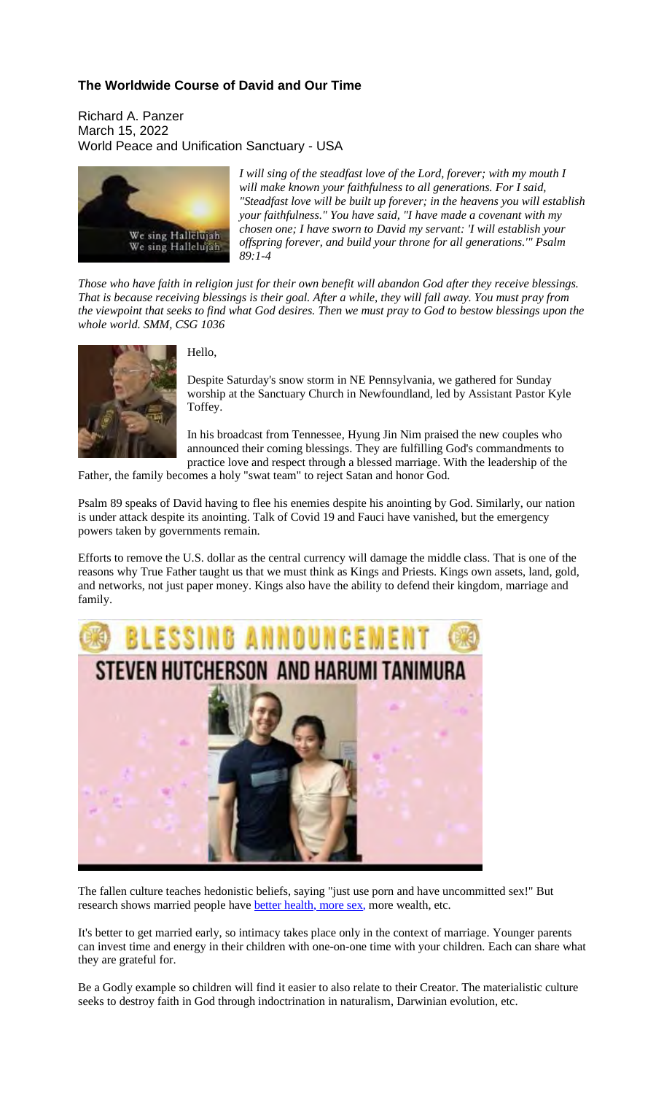## **The Worldwide Course of David and Our Time**

Richard A. Panzer March 15, 2022 World Peace and Unification Sanctuary - USA



*I will sing of the steadfast love of the Lord, forever; with my mouth I will make known your faithfulness to all generations. For I said, "Steadfast love will be built up forever; in the heavens you will establish your faithfulness." You have said, "I have made a covenant with my chosen one; I have sworn to David my servant: 'I will establish your offspring forever, and build your throne for all generations.'" Psalm 89:1-4*

Those who have faith in religion just for their own benefit will abandon God after they receive blessings. That is because receiving blessings is their goal. After a while, they will fall away. You must pray from the viewpoint that seeks to find what God desires. Then we must pray to God to bestow blessings upon the *whole world. SMM, CSG 1036*



Hello,

Despite Saturday's snow storm in NE Pennsylvania, we gathered for Sunday worship at the Sanctuary Church in Newfoundland, led by Assistant Pastor Kyle Toffey.

In his broadcast from Tennessee, Hyung Jin Nim praised the new couples who announced their coming blessings. They are fulfilling God's commandments to practice love and respect through a blessed marriage. With the leadership of the

Father, the family becomes a holy "swat team" to reject Satan and honor God.

Psalm 89 speaks of David having to flee his enemies despite his anointing by God. Similarly, our nation is under attack despite its anointing. Talk of Covid 19 and Fauci have vanished, but the emergency powers taken by governments remain.

Efforts to remove the U.S. dollar as the central currency will damage the middle class. That is one of the reasons why True Father taught us that we must think as Kings and Priests. Kings own assets, land, gold, and networks, not just paper money. Kings also have the ability to defend their kingdom, marriage and family.



The fallen culture teaches hedonistic beliefs, saying "just use porn and have uncommitted sex!" But research shows married people have better health, more sex, more wealth, etc.

It's better to get married early, so intimacy takes place only in the context of marriage. Younger parents can invest time and energy in their children with one-on-one time with your children. Each can share what they are grateful for.

Be a Godly example so children will find it easier to also relate to their Creator. The materialistic culture seeks to destroy faith in God through indoctrination in naturalism, Darwinian evolution, etc.